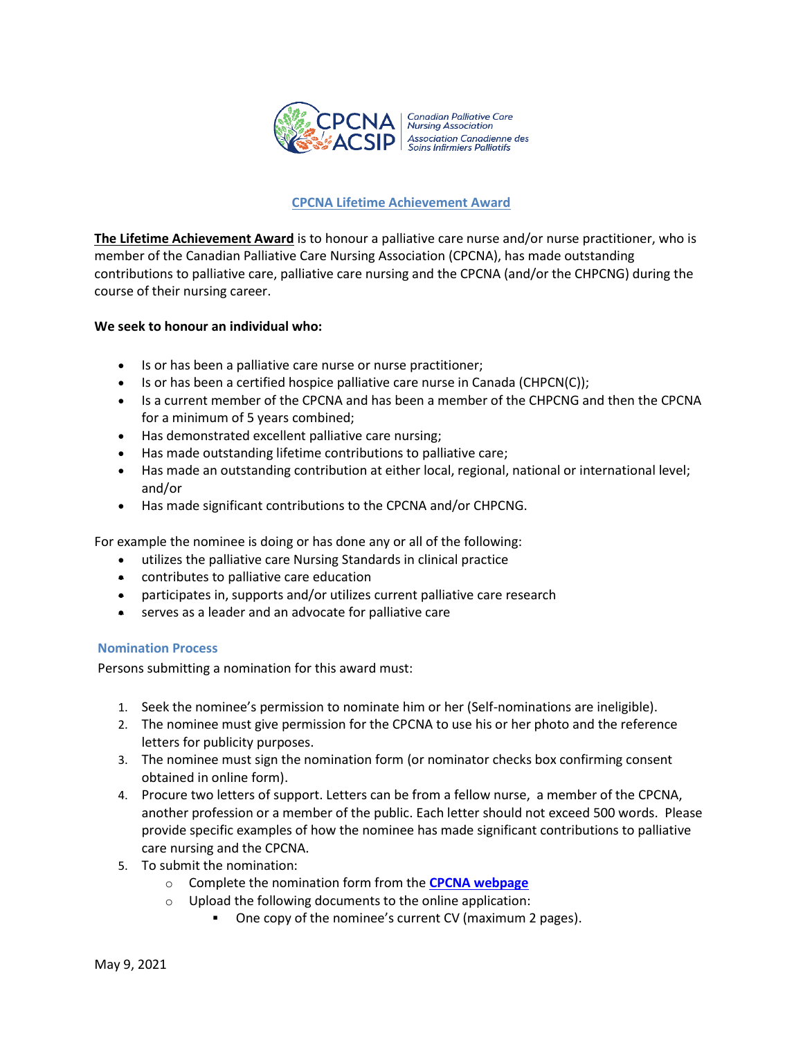

# **CPCNA Lifetime Achievement Award**

**The Lifetime Achievement Award** is to honour a palliative care nurse and/or nurse practitioner, who is member of the Canadian Palliative Care Nursing Association (CPCNA), has made outstanding contributions to palliative care, palliative care nursing and the CPCNA (and/or the CHPCNG) during the course of their nursing career.

## **We seek to honour an individual who:**

- Is or has been a palliative care nurse or nurse practitioner;
- Is or has been a certified hospice palliative care nurse in Canada (CHPCN(C));
- Is a current member of the CPCNA and has been a member of the CHPCNG and then the CPCNA for a minimum of 5 years combined;
- Has demonstrated excellent palliative care nursing;
- Has made outstanding lifetime contributions to palliative care;
- Has made an outstanding contribution at either local, regional, national or international level; and/or
- Has made significant contributions to the CPCNA and/or CHPCNG.

For example the nominee is doing or has done any or all of the following:

- utilizes the palliative care Nursing Standards in clinical practice
- contributes to palliative care education
- participates in, supports and/or utilizes current palliative care research
- serves as a leader and an advocate for palliative care

# **Nomination Process**

Persons submitting a nomination for this award must:

- 1. Seek the nominee's permission to nominate him or her (Self-nominations are ineligible).
- 2. The nominee must give permission for the CPCNA to use his or her photo and the reference letters for publicity purposes.
- 3. The nominee must sign the nomination form (or nominator checks box confirming consent obtained in online form).
- 4. Procure two letters of support. Letters can be from a fellow nurse, a member of the CPCNA, another profession or a member of the public. Each letter should not exceed 500 words. Please provide specific examples of how the nominee has made significant contributions to palliative care nursing and the CPCNA.
- 5. To submit the nomination:
	- o Complete the nomination form from the **[CPCNA webpage](http://www.cpcna.ca/)**
	- o Upload the following documents to the online application:
		- One copy of the nominee's current CV (maximum 2 pages).